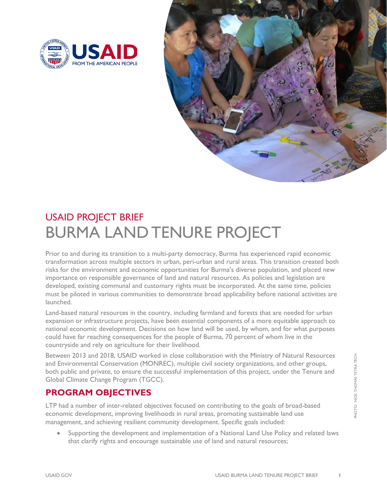



# USAID PROJECT BRIEF BURMA LAND TENURE PROJECT

Prior to and during its transition to a multi-party democracy, Burma has experienced rapid economic transformation across multiple sectors in urban, peri-urban and rural areas. This transition created both risks for the environment and economic opportunities for Burma's diverse population, and placed new importance on responsible governance of land and natural resources. As policies and legislation are developed, existing communal and customary rights must be incorporated. At the same time, policies must be piloted in various communities to demonstrate broad applicability before national activities are launched.

Land-based natural resources in the country, including farmland and forests that are needed for urban expansion or infrastructure projects, have been essential components of a more equitable approach to national economic development. Decisions on how land will be used, by whom, and for what purposes could have far reaching consequences for the people of Burma, 70 percent of whom live in the countryside and rely on agriculture for their livelihood.

Between 2013 and 2018, USAID worked in close collaboration with the Ministry of Natural Resources and Environmental Conservation (MONREC), multiple civil society organizations, and other groups, both public and private, to ensure the successful implementation of this project, under the Tenure and Global Climate Change Program (TGCC).

# **PROGRAM OBJECTIVES**

LTP had a number of inter-related objectives focused on contributing to the goals of broad-based economic development, improving livelihoods in rural areas, promoting sustainable land use management, and achieving resilient community development. Specific goals included:

• Supporting the development and implementation of a National Land Use Policy and related laws that clarify rights and encourage sustainable use of land and natural resources;

**HOTO: NICK THOMAS TETRA TECH** PHOTO: NICK THOMAS TETRA TECH